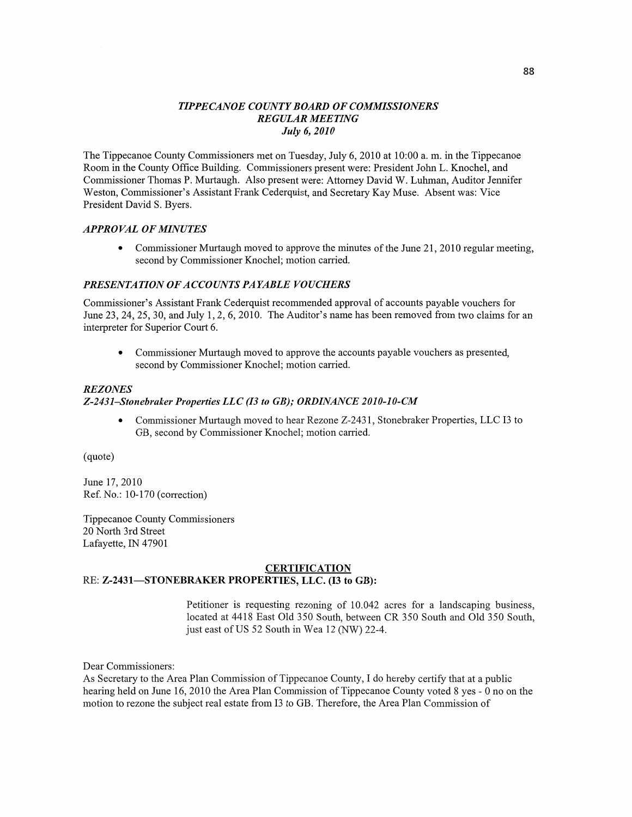## *TIPPECANOE COUNTY BOARD* OF *COMMISSIONERS REGULAR MEETING July* 6, *2010*

The Tippecanoe County Commissioners met on Tuesday, July 6, 2010 at 10:00 a. m. in the Tippecanoe Room in the County Office Building. Commissioners present were: President John L. Knochel, and Commissioner Thomas P. Murtaugh. Also present were: Attorney David W. **Luhman, Auditor** Jennifer Weston, Commissioner's Assistant Frank Cederquist, and Secretary Kay Muse. Absent was: **Vice**  President David S. Byers.

#### *APPROVAL* OF *MINUTES*

**0 Commissioner** Murtaugh moved to approve the minutes of the June 21, 2010 regular meeting, **second** by Commissioner Knochel; **motion** carried.

#### **PRESENTATION OF ACCOUNTS PAYABLE VOUCHERS**

Commissioner's **Assistant Frank** Cederquist **recommended** approval of accounts payable vouchers for June 23, 24, 25, 30, and July 1, 2, 6, 2010. The Auditor's name has been removed from two claims for an interpreter for Superior **Court** 6.

**0 Commissioner** Murtaugh moved to approve the **accounts** payable **vouchers** as presented, **second** by Commissioner Knochel; motion cam'ed.

## REZ *ONES Z-2431—St0nebraker Properties* LLC (I3 to *GB); ORDINANCE 2010-10-CM*

**0** Commissioner Murtaugh moved to hear Rezone Z-2431, Stonebraker Properties, LLC I3 to GB, **second** by Commissioner Knochel; motion carried.

(quote)

June 17, 2010 Ref. No.: 10-170 (correction)

Tippecanoe County **Commissioners**  20 **North** 3rd Street Lafayette, IN 47901

#### **CERTIFICATION**  RE: **Z-243 l—STONEBRAKER PROPERTIES, LLC.** (I3 to **GB):**

# Petitioner is requesting rezoning of 10.042 acres for a **landscaping** business, located at 4418 East Old 350 South, between CR 350 South and Old 350 **South,**  just east of US 52 South in Wea 12 (NW) 22-4.

Dear Commissioners:

As Secretary to the Area Plan Commission of Tippecanoe County, I do hereby certify that at **a** public hearing held on June 16, 2010 the Area Plan Commission of Tippecanoe County voted 8 yes *-* **0** no on the motion to rezone the subject real estate from I3 to GB. Therefore, the Area **Plan** Commission of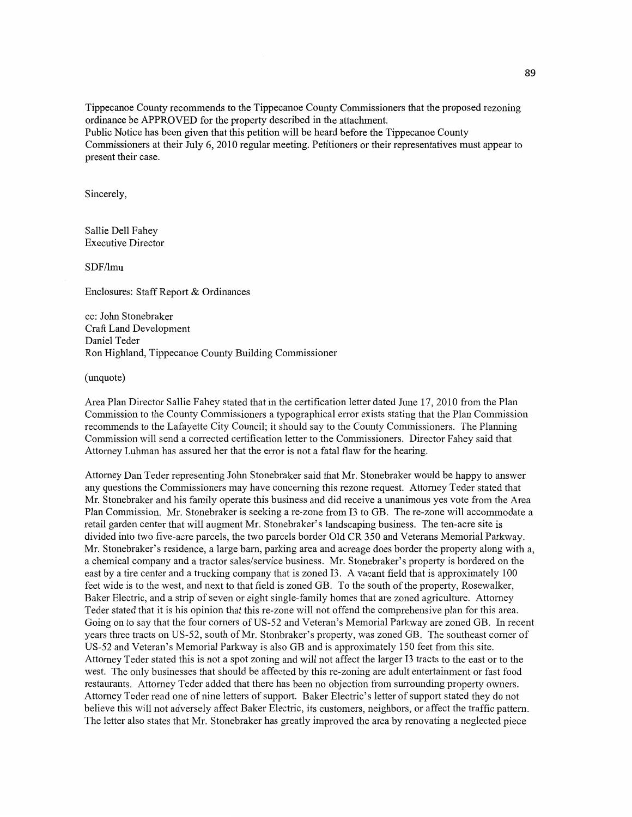**Tippecanoe** County recommends to the **Tippecanoe** County Commissioners **that** the proposed rezoning **ordinance** be APPROVED for the property described in the attachment. Public Notice has been given **that** this petition will be heard before the **Tippecanoe County Commissioners** at **their** July 6, 2010 regular meeting. Petitioners or their representatives **must** appear to **present** their case.

**Sincerely,** 

Sallie Dell Fahey Executive Director

**SDF/lmu** 

Enclosures: **Staff Report** & **Ordinances** 

cc: John Stonebraker Craft Land Development Daniel Teder Ron Highland, **Tippecanoe County** Building **Commissioner** 

(unquote)

Area Plan Director Sallie Fahey stated that in the certification letter dated June 17, 2010 from the Plan Commission to the County Commissioners a typographical error exists stating **that** the Plan Commission recommends to the Lafayette City Council; it **should** say to the County Commissioners. The Planning Commission will send a corrected certification letter to the Commissioners. Director Fahey said that Attorney Luhman has assured her that the error is not a fatal flaw for the hearing.

Attorney Dan Teder representing John Stonebraker said **that** Mr. Stonebraker would be happy to answer any questions the Commissioners may have concerning this rezone request. Attorney Teder stated that Mr. Stonebraker and his family operate this business and did receive a unanimous yes vote from the Area **Plan** Commission. Mr. Stonebraker is seeking a re-zone from I3 to GB. The re-zone will accommodate a retail garden center that will augment Mr. Stonebraker's landscaping business. The ten-acre site is divided into two five-acre parcels, the two parcels border Old CR 350 and Veterans Memorial Parkway. Mr. Stonebraker's residence, a large barn, parking area and acreage does border the property along with a, a chemical company and a tractor sales/service business. Mr. Stonebraker's property is bordered on the east by **a** tire center and a trucking company that is zoned I3. **A** vacant field **that** is approximately 100 feet wide is to the west, and next to **that** field is zoned GB. To the south of the property, Rosewalker, Baker Electric, and a strip of seven or eight single-family **homes** that are zoned agriculture. Attorney Teder stated that it is his opinion that **this** re-zone will not offend the comprehensive plan for **this** area. Going on to say that the four corners of US-52 and Veteran's Memorial Parkway are zoned GB. In recent years three tracts on US—52, south of Mr. Stonbraker's property, was zoned GB. The southeast corner of US-52 and Veteran's Memorial Parkway is also GB and is approximately 150 feet from this site. Attorney Tcder stated this is not a spot zoning and will not affect the larger I3 tracts to the east or to the west. The only businesses **that** should be affected by **this** re-zoning are adult entertainment or fast food restaurants. Attorney Teder added that there has been no objection from surrounding property owners. Attorney Teder read one of **nine** letters of support. Baker Electric's letter of support stated they do not believe **this** will not adversely affect Baker Electric, its customers, neighbors, or affect the traffic pattern. The letter also states that Mr. Stonebraker has greatly improved the area by renovating a neglected piece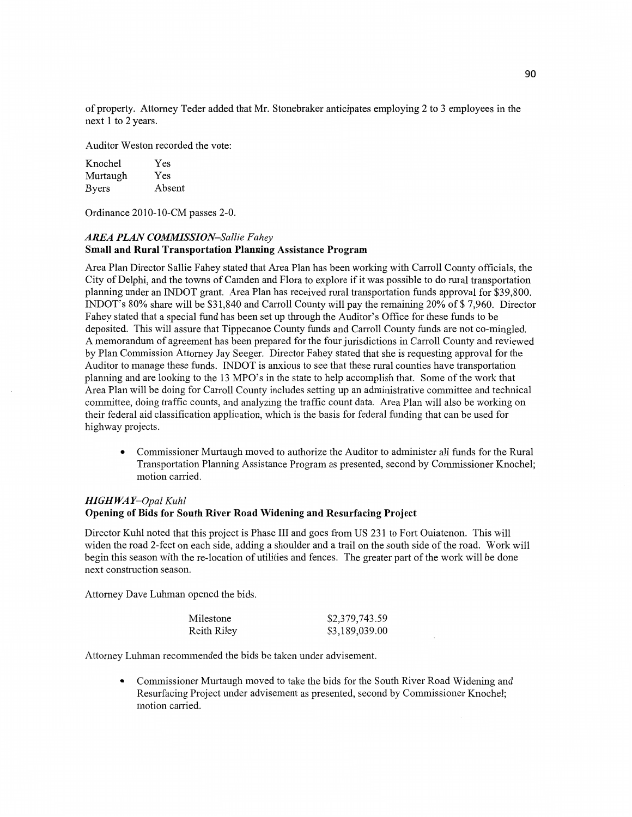of property. Attorney Teder added that Mr. Stonebraker anticipates employing 2 to 3 employees in the next 1 to 2 years.

Auditor Weston recorded the vote:

| Knochel      | Yes    |
|--------------|--------|
| Murtaugh     | Yes    |
| <b>Byers</b> | Absent |

**Ordinance** 2010-10-CM passes 2-0.

## *AREA PLAN COMMISSION—Sallie Fahey*  **Small** and **Rural Transportation** Planning **Assistance Program**

Area Plan Director Sallie Fahey stated that Area Plan has been working with Carroll County officials, the City of Delphi, and the towns of **Camden** and Flora to explore if it was possible to do rural transportation planning under an INDOT grant. Area Plan has received rural **transportation** funds approval for \$39,800. INDOT's 80% share will be \$31,840 and Carroll County will pay the remaining 20% of \$ 7,960. Director Fahey **stated that a** special **fund** has been set up through the Auditor's Office for these **funds** to be deposited. This will assure **that** Tippecanoe County funds and Carroll County funds are not co-mingled. A memorandum of agreement has been prepared for the four jurisdictions in Carroll County and reviewed by **Plan** Commission **Attorney** Jay Seeger. Director Fahey stated that she is requesting approval for the **Auditor** to manage these funds. INDOT is anxious to see that these rural counties have transportation planning and are looking to the 13 MPO's in the state to **help** accomplish that. Some of the work **that**  Area Plan will be doing for Carroll County includes setting up an administrative committee and technical committee, doing traffic counts, and analyzing the traffic count **data.** Area Plan will also be working on their federal aid classification application, which is the basis for federal funding that can be used for highway projects.

**0** Commissioner Murtaugh **moved** to authorize the Auditor to administer all **fimds** for the Rural Transportation Planning **Assistance** Program as presented, second by **Commissioner Knochel;**  motion carried.

# *HIGH* WA *Y—Opal Kuhl*  **Opening** of **Bids** for **South** River **Road Widening** and **Resurfacing Project**

Director Kuhl noted **that this** project is Phase III and goes from US 231 to Fort **Ouiatenon.** This will widen the road 2-feet on each **side,** adding a shoulder and a trail on the south side of the road. Work will begin this season With the re-location of **utilities** and fences. The greater part of the work will be done next construction season.

Attorney Dave **Luhman opened** the bids.

| Milestone   | \$2,379,743.59 |
|-------------|----------------|
| Reith Riley | \$3,189,039.00 |

Attorney Luhman recommended the bids be **taken** under advisement.

**0** Commissioner Murtaugh moved to take the bids for the South River Road Widening and Resurfacing **Project** under advisement as **presented,** second by Commissioner Knochel; motion carried.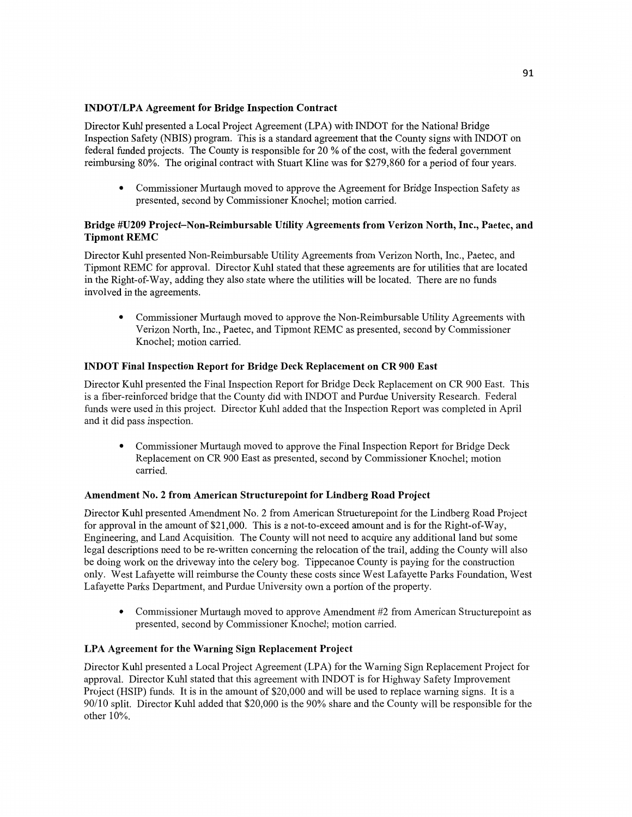# **INDOT/LPA Agreement** for **Bridge Inspection Contract**

Director Kuhl presented a Local Project Agreement (LPA) with INDOT for the National Bridge Inspection Safety (N BIS) program. This is a standard agreement **that** the County signs with INDOT on federal **fimded** projects. The **County** is responsible for 20 % of the cost, with the federal government reimbursing **80%.** The original contract with Stuart Kline was for \$279,860 for a period of four years.

**0** Commissioner **Murtaugh** moved to approve the **Agreement** for Bridge Inspection Safety as presented, second by Commissioner Knochel; **motion** carried.

# **Bridge #U209 Project—Non-Reimbursable** Utility **Agreements from Verizon North, Inc., Paetec,** and **Tipmont REMC**

Director Kuhl presented Non-Reimbursable Utility Agreements from Verizon North, Inc., Paetec, and Tipmont REMC for approval. Director Kuhl stated that these agreements are for utilities that are located in the Right-of-Way, adding they also state where the utilities will be located. There are no **funds**  involved in the agreements.

• Commissioner Murtaugh moved to approve the Non-Reimbursable Utility Agreements with Verizon **North, Inc.,** Paetec, and Tipmont REMC as presented, second by Commissioner Knochel; **motion** carried.

## **INDOT Final Inspection Report** for **Bridge Deck Replacement** on CR 900 **East**

Director Kuhl presented the Final Inspection Report for Bridge Deck Replacement on CR 900 East. **This**  is a fiber-reinforced bridge that the County did with INDOT and Purdue University Research. Federal funds were used in this project. Director Kuhl added that the Inspection Report was completed in April and it did pass inspection.

**0** Commissioner Murtaugh moved to approve the Final **Inspection** Report for Bridge Deck Replacement on CR 900 East as presented, second by Commissioner Knochel; motion carried.

## **Amendment** No. **2 from American Structurepoint** for **Lindberg Road Project**

Director Kuhl presented Amendment No. 2 fiom American Structurepoint for the Lindberg Road Project for approval in the amount of \$21,000. **This** is a not-to-exceed **amount** and is for the Right-of—Way, Engineering, and Land Acquisition. The County will not need to acquire any additional land but some legal descriptions need to be re—written concerning the relocation of the trail, adding the County will also be doing work on the driveway into the celery bog. Tippecanoe County is paying for the construction only. West Lafayette will reimburse the **County** these **costs** since West Lafayette Parks Foundation, West Lafayette Parks Department, and Purdue University own a **portion** of the property.

**0** Commissioner Murtaugh moved to approve Amendment #2 from American Structurepoint as presented, second by Commissioner Knochel; motion carried.

## LPA **Agreement** for the **Warning** Sign **Replacement Project**

Director Kuhl presented a Local Project Agreement **(LPA)** for the Warning Sign Replacement Project for approval. Director Kuhl stated that this agreement with INDOT is for Highway Safety Improvement Project **(HSIP)** funds. It is in the amount of \$20,000 and will be used to replace warning signs. It is a 90/10 split. Director Kuhl added that \$20,000 is the 90% share and the County will be responsible for the other 10%.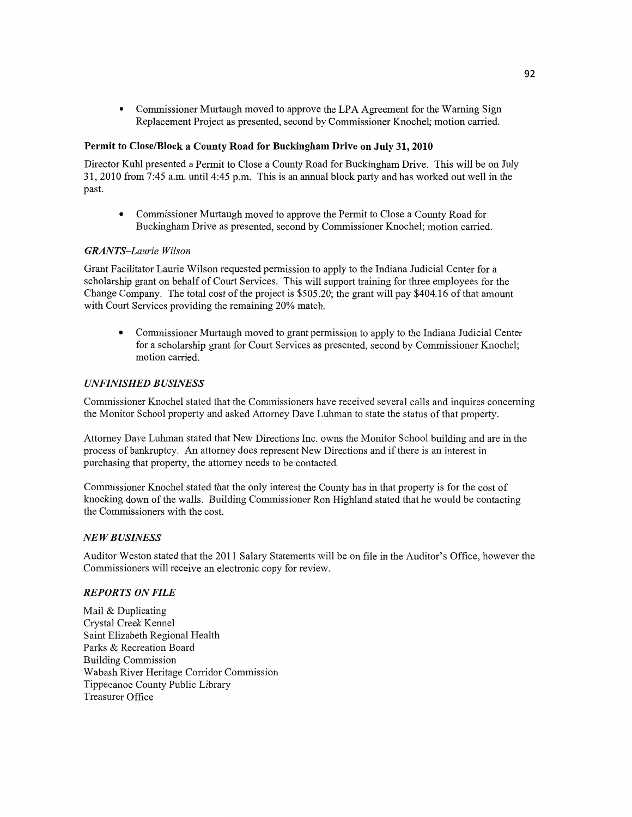**0 Commissioner** Murtaugh moved to approve the LPA **Agreement** for the Warning Sign Replacement **Project** as presented, **second** by Commissioner Knochel; **motion canied.** 

#### **Permit** to **Close/Block a County Road** for **Buckingham Drive** on **July** 31, **2010**

Director Kuhl presented **a** Permit to Close **a** County Road for Buckingham Drive. This will be on July 31, 2010 from 7:45 **am. until** 4:45 pm. **This** is an annual **block** party and has worked out well in the **past.** 

**0** Commissioner Murtaugh **moved** to approve the **Permit** to Close a County Road for Buckingham Drive as presented, **second** by **Commissioner** Knochel; **motion** carried.

## $GRANTS-Laurie Wilson$

**Grant** Facilitator Laurie Wilson requested permission to apply to the Indiana Judicial Center for **a scholarship** grant on behalf of Court Services. **This** will support training for three employees for the Change Company. The total **cost** of the project is \$505.20; the gran<sup>t</sup>will pay \$404.16 of that **amount**  with Court Services **providing** the remaining 20% match.

**0** Commissioner Murtaugh moved to grant permission to apply to the Indiana Judicial Center for a **scholarship** grant for **Court** Services as presented, second by Commissioner Knochel; **motion** carried.

#### *UNFINISHED BUSINESS*

Commissioner Knochel stated that the Commissioners have received several calls and inquires concerning the **Monitor** School property and asked Attorney Dave Luhman to state the status of that property.

**Attorney** Dave **Luhman** stated that New Directions **Inc.** owns the Monitor School building and are in the process of bankruptcy. An attorney does represent New **Directions** and if there is an interest in purchasing **that** property, the attorney needs to be contacted.

Commissioner Knochel stated that the only interest the County has in that property is for the cost of **knocking** down of the walls. Building Commissioner Ron Highland stated that he would be contacting the Commissioners with the **cost.** 

#### NE WB *USINESS*

**Auditor** Weston stated that the 2011 Salary **Statements will** be on file in the Auditor's Office, however the Commissioners will receive an electronic copy for review.

#### *REPORTS* ON *FILE*

Mail & Duplicating Crystal Creek Kennel Saint Elizabeth Regional Health Parks & Recreation Board Building Commission Wabash River Heritage Corridor **Commission**  Tippecanoe County Public Library Treasurer **Office**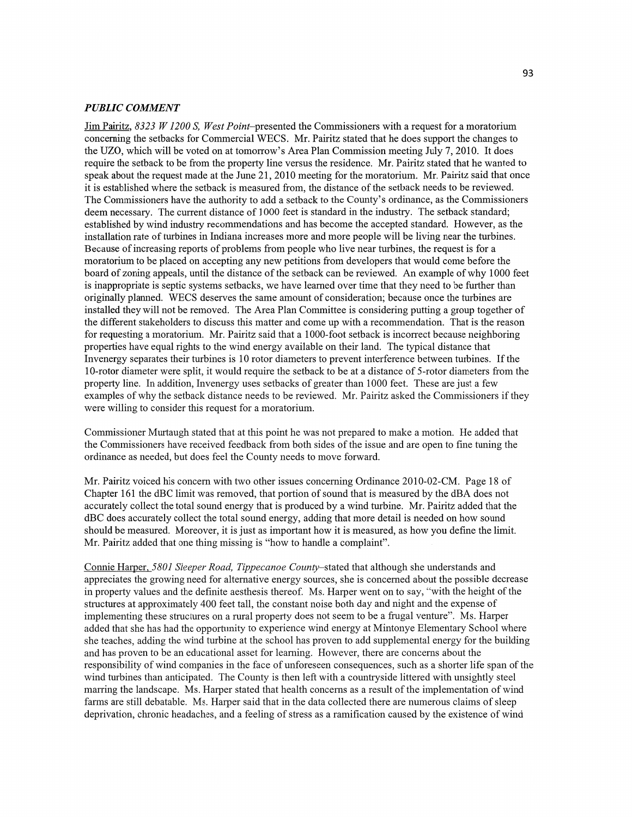#### *PUBLIC COMMENT*

Jim Pairitz, *8323 W 1200* S, *West* Point—presented the Commissioners With a request for a moratorium concerning the setbacks for Commercial WECS. Mr. Pairitz stated that he does support the changes to the **UZO,** which will be voted on at tomorrow's Area Plan Commission meeting July 7, 2010. It does require the setback to be from the property **line** versus the residence. Mr. Pairitz stated that he wanted to speak about the request made at the June 21, 2010 meeting for the moratorium. Mr. Pairitz said that once it is established where the setback is measured from, the distance of the setback needs to be reviewed. The Commissioners have the authority to add a setback to the County's ordinance, as the Commissioners deem necessary. The current distance of 1000 feet is standard in the industry. The setback standard; established by wind industry recommendations and has become the accepted standard. However, as the installation rate of turbines in **Indiana** increases more and more people will be living near the turbines. Because of increasing reports of problems from people who live near turbines, the request is for a moratorium to be placed on accepting any new petitions from developers that would come before the board of zoning appeals, until the distance of the setback can be reviewed. An example of why 1000 feet is inappropriate is septic systems setbacks, we have learned over time that they need to be further than originally planned. WECS deserves the same amount of consideration; because once the turbines are installed they will not be removed. The Area Plan Committee is considering putting a group together of the different stakeholders to discuss this matter and come up with a recommendation. That is the reason for requesting a moratorium. Mr. Pairitz said that a 1000-foot setback is incorrect because neighboring properties have equal rights to the wind energy available on their land. The typical distance that Invenergy separates their turbines is 10 rotor diameters to prevent interference between turbines. If the 10-rotor diameter were split, it would require the setback to be at **a** distance of 5—rotor diameters from the property line. In addition, Invenergy uses setbacks of greater than 1000 feet. These are just a few examples of why the setback distance needs to be reviewed. Mr. Pairitz asked the Commissioners if they were willing to consider this request for a moratorium.

Commissioner Murtaugh stated that at this point he was not prepared to make a motion. He added that the Commissioners have received feedback from both sides of the issue and are open to fine tuning the ordinance as needed, but does feel the County needs to move forward.

Mr. Pairitz voiced his concern with two other issues concerning Ordinance 2010-02-CM. Page 18 of Chapter 161 the dBC limit was removed, that portion of sound that is measured by the dBA does not accurately collect the total sound energy that is produced by a Wind turbine. Mr. Pairitz added that the dBC does accurately collect the total sound energy, adding that more detail is needed on how sound should be measured. Moreover, it is just as important how it is measured, as how you define the **limit.**  Mr. Pairitz added that one thing missing is "how to handle a complaint".

Connie Hagper, *580] Sleeper Road, Tippecanoe* County—stated that although she understands and appreciates the growing need for alternative energy sources, she is concerned about the possible decrease in property values and the definite aesthesis thereof. Ms. Harper went on to say, "with the height of the structures at approximately 400 feet tall, the constant noise both day and night and the expense of implementing these structures on a rural property does not seem to be a frugal venture". Ms. Harper added that she has had the opportunity to experience Wind energy at Mintonye Elementary School Where she teaches, adding the wind turbine at the school has proven to add supplemental energy for the building and has proven to be an educational asset for learning. However, there are concerns about the responsibility of Wind companies in the face of unforeseen consequences, **such** as a shorter life span of the wind turbines than anticipated. The County is then left with a countryside littered with unsightly steel marring the landscape. Ms. Harper stated that health concerns as a result of the implementation of wind farms are still debatable. Ms. Harper said that in the data collected there are numerous claims of sleep deprivation, chronic headaches, and a feeling of stress as a ramification caused by the existence of Wind